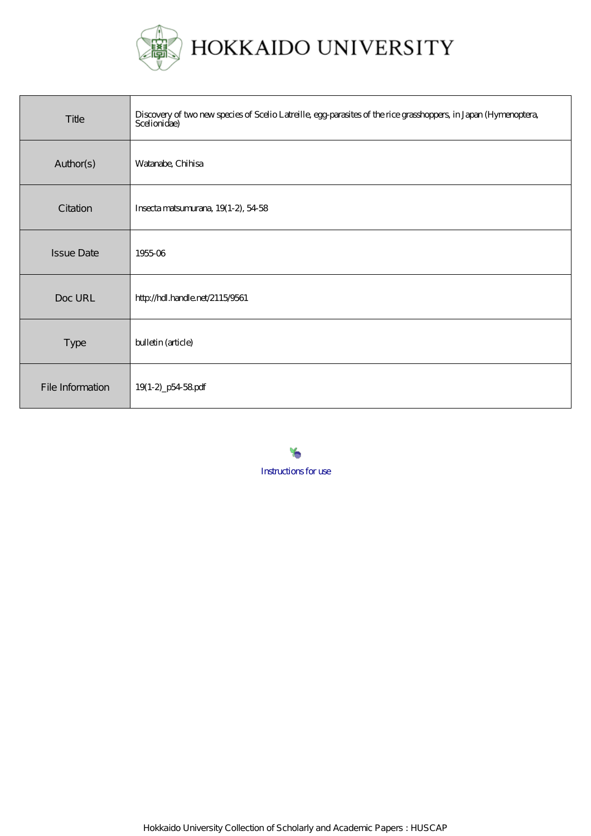

HOKKAIDO UNIVERSITY

| Title             | Discovery of two new species of Scelio Latreille, egg-parasites of the rice grasshoppers, in Japan (Hymenoptera,<br>Scelionidae) |
|-------------------|----------------------------------------------------------------------------------------------------------------------------------|
| Author(s)         | Watanabe, Chihisa                                                                                                                |
| Citation          | Insecta matsumurana, 19(1-2), 54-58                                                                                              |
| <b>Issue Date</b> | 1955-06                                                                                                                          |
| Doc URL           | http://hdl.handle.net/21154561                                                                                                   |
| Type              | bulletin (article)                                                                                                               |
| File Information  | 19(1-2)_p54-58pdf                                                                                                                |

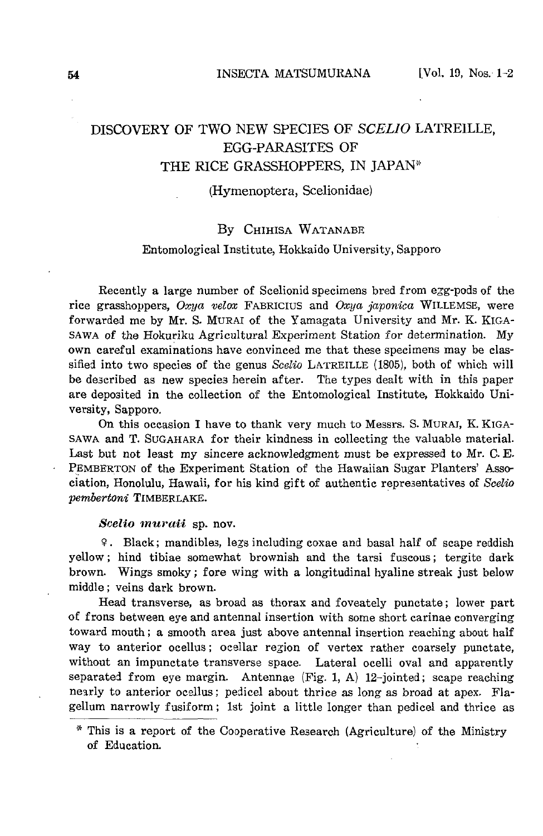# DISCOVERY OF TWO NEW SPECIES OF *SCELIO* LATREILLE, EGG-PARASITES OF THE RICE GRASSHOPPERS, IN JAPAN\*

## (Hymenoptera, Scelionidae)

## By CHIHISA WATANABE

### Entomological Institute, Hokkaido University, Sapporo

Recently a large number of Scelionid specimens bred from egg-pods of the rice grasshoppers, *Oxya velox* FABRICIUS and *Oxya japonica* WILLEMSE, were forwarded me by Mr. S. MURAl of the Yamagata University and Mr. K. KIGA-SAWA of the Hokuriku Agricultural Experiment Station for determination. My own careful examinations have convinced me that these specimens may be classified into two species of the genus *Scelio* LATREILLE (1805), both of which will be de3cribed as new species herein after. The types dealt with in this paper are deposited in the collection of the Entomological Institute, Hokkaido University, Sapporo.

On this occasion I have to thank very much to Messrs. S. MURAl, K. KIGA-SAWA and T. SUGAHARA for their kindness in collecting the valuable material. Last but not least my sincere acknowledgment must be expressed to Mr. C. E. PEMBERTON of the Experiment Station of the Hawaiian Sugar Planters' Association, Honolulu, Hawaii, for his kind gift of authentic representatives of *Scelio pembertoni* TIMBERLAKE.

#### *Scelio muraii* sp. nov.

9. Black; mandibles, legs including coxae and basal half of scape reddish yellow; hind tibiae somewhat brownish and the tarsi fuscous; tergite dark brown. Wings smoky; fore wing with a longitudinal hyaline streak just below middle; veins dark brown.

Head transverse, as broad as thorax and foveately punctate; lower part of frons between eye and antennal insertion with some short carinae converging toward mouth; a smooth area just above antennal insertion reaching about half way to anterior ocellus; ocellar region of vertex rather coarsely punctate, without an impunctate transverse space. Lateral ocelli oval and apparently separated from eye margin. Antennae (Fig. 1, A) 12-jointed; scape reaching nearly to anterior ocellus; pedicel about thrice as long as broad at apex. Flagellum narrowly fusiform; 1st joint a little longer than pedicel and thrice as

<sup>\*</sup> This is a report of the Cooperative Research (Agriculture) of the Ministry of Education.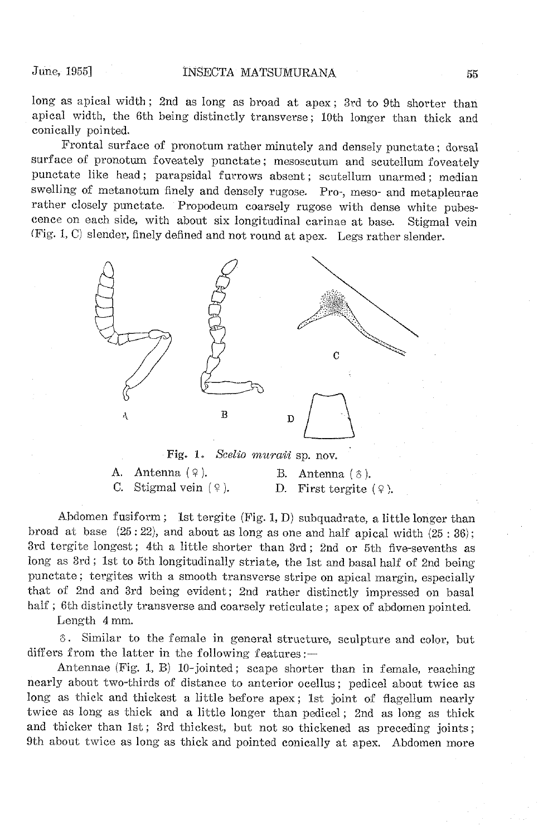long as apical width; 2nd as long as broad at apex; 3rd to 9th shorter than apical width, the 6th being distinctly transverse; 10th longer than thick and conically pointed.

Frontal surface of pronotum rather minutely and densely punctate; dorsal surface of pronotum foveately punctate; mesoscutum and scutellum foveately punctate like head; parapsidal furrows absent; scutellum unarmed; median swelling of metanotum finely and densely rugose. Pro-, meso- and metapleurae rather closely punctate. Propodeum coarsely rugose with dense white pubescence on each side, with about six longitudinal carinae at base. Stigmal vein (Fig. 1, C) slender, finely defined and not round at apex. Legs rather slender.



Fig. 1. *Scelio muraii* sp. nov.

| A. Antenna $(9)$ .      | B. Antenna $(\delta)$ .  |  |
|-------------------------|--------------------------|--|
| C. Stigmal vein $(9)$ . | D. First tergite $(9)$ . |  |

Abdomen fusiform; 1st tergite (Fig. 1, D) subquadrate, a little longer than broad at base  $(25:22)$ , and about as long as one and half apical width  $(25:36)$ ; 3rd tergite longest; 4th a little shorter than 3rd; 2nd or 5th five-sevenths as long as 3rd; 1st to 5th longitudinally striate, the 1st and basal half of 2nd being punctate; tergites with a smooth transverse stripe on apical margin, especially that of 2nd and 3rd being evident; 2nd rather distinctly impressed on basal half; 6th distinctly transverse and coarsely reticulate; apex of abdomen pointed.

Length 4mm.

o. Similar to the female in general structure, sculpture and color, but differs from the latter in the following features; $-$ 

Antennae (Fig. 1, B) 10-jointed; scape shorter than in female, reaching nearly about two-thirds of distance to anterior ocellus; pedicel about twice as long as thick and thickest a little before apex; 1st joint of flagellum nearly twice as long as thick and a little longer than pedicel; 2nd as long as thick and thicker than 1st; 3rd thickest, but not so thickened as preceding joints; 9th about twice as long as thick and pointed conically at apex. Abdomen more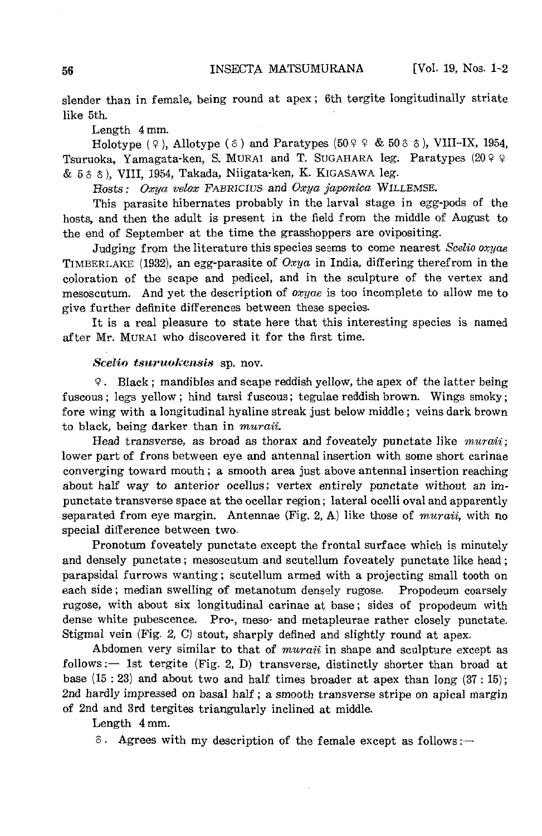slender than in female, being round at apex; 6th tergite longitudinally striate like 5th.

Length 4mm.

Holotype ( $\varphi$ ), Allotype ( $\varphi$ ) and Paratypes (50 $\varphi$  & 50 $\varphi$   $\varphi$ ), VIII-IX, 1954, Tsuruoka, Yamagata-ken, S. MURAI and T. SUGAHARA leg. Paratypes (20 º º & 50 0), VIII, 1954, Takada, Niigata-ken, K. KIGASAWA leg.

Hosts: Oxya velox FABRICIUS and Oxya japonica WILLEMSE.

This parasite hibernates probably in the larval stage in egg-pods of the hosts, and then the adult is present in the field from the middle of August to the end of September at the time the grasshoppers are ovipositing.

Judging from the literature this species seems to come nearest *Scelio oxyae*  TIMBERLAKE (1932), an egg-parasite of *Oxya* in India, differing therefrom in the coloration of the scape and pedicel, and in the sculpture of the vertex and mesoscutum. And yet the description of *oxyae* is too incomplete to allow me to give further definite differences between these species.

It is a real pleasure to state here that this interesting species is named after Mr. MURAl who discovered it for the first time.

#### *Scelio tsnrnoli:ensis* sp. nov.

!f. Black; mandibles and scape reddish yellow, the apex of the latter being fuscous; legs yellow; hind tarsi fuscous; tegulae reddish brown. Wings smoky; fore wing with a longitudinal hyaline streak just below middle; veins dark brown to black, being darker than in *muraii.* 

Head transverse, as broad as thorax and foveately punctate like *muraii*; lower part of frons between eye and antennal insertion with some short carinae converging toward mouth; a smooth area just above antennal insertion reaching about half way to anterior ocellus; vertex entirely punctate without an impunctate transverse space at the ocellar region; lateral ocelli oval and apparently separated from eye margin. Antennae (Fig. 2, A) like those of *muraii*, with no special difference between two.

Pronotum foveately punctate except the frontal surface which is minutely and densely punctate; mesoscutum and scutellum foveately punctate like head; parapsidal furrows wanting; scutellum armed with a projecting small tooth *on*  each side; median swelling of metanotum densely rugose. Propodeum coarsely rugose, with about six longitudinal carinae at base; sides of propodeum with dense white pubescence. Pro-, meso- and metapleurae rather closely punctate. Stigmal vein (Fig. 2, C) stout, sharply defined and slightly round at apex.

Abdomen very similar to that of *muraii* in shape and sculpture except as follows:  $-$  1st tergite (Fig. 2, D) transverse, distinctly shorter than broad at base  $(15:23)$  and about two and half times broader at apex than long  $(37:15)$ ; 2nd hardly impre3sed on basal half; a smooth transverse stripe *on* apical margin of 2nd and 3rd tergites triangularly inclined at middle.

Length 4mm.

 $\delta$ . Agrees with my description of the female except as follows:-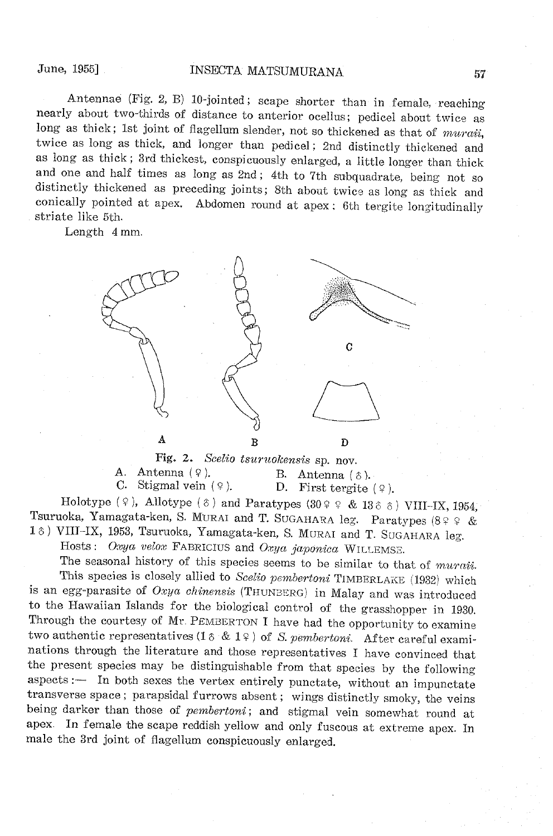Antennae (Fig. 2, B) 10-jointed; scape shorter than in female, reaching nearly about two-thirds of distance to anterior ocellus; pedicel about twice as long as thick; 1st joint of flagellum slender, not so thickened as that of *muraii*, twice as long as thick, and longer than pedicel; 2nd distinctly thickened and as long as thick; 3rd thickest, conspicuously enlarged, a little longer than thick and one and half times as long as 2nd; 4th to 7th subquadrate, being not so distinctly thickened as preceding joints; 8th about twice as long as thick and conically pointed at apex. Abdomen round at apex; 6th tergite longitudinally striate like 5th.

Length 4 mm.



Fig. 2. *Scelio tsuruokensis* sp. nov.<br>A. Antenna (9). B. Antenna (1) A. Antenna  $(9)$ . B. Antenna  $(8)$ .<br>C. Stigmal vein  $(9)$ . D. First tergite D. First tergite  $(9)$ .

Holotype ( $\varphi$ ), Allotype ( $\varphi$ ) and Paratypes (30 $\varphi \varphi$  & 13 $\varphi$   $\varphi$ ) VIII-IX, 1954, Tsuruoka, Yamagata-ken, S. MURAl and T. SUGAHARA leg. Paratypes (8? ? & 16) VIII-IX, 1953, Tsuruoka, Yamagata-ken, S. MURAI and T. SUGAHARA leg. Hosts: *Oxya velox* FABRICIUS and *Oxya japonica* WILLEMSE.

The seasonal history of this species seems to be similar to that of *muraii.* 

This species is closely allied to *Seelio pembertoni* TIMBERLAKE (1932) which is an egg-parasite of *Oxya ehinensis* (THUN3ERG) in Malay and was introduced to the Hawaiian Islands for the biological control of the grasshopper in 1930. Through the courtesy of Mr. PEMBERTON I have had the opportunity to examine two authentic representatives  $(1 \delta \& 1 \epsilon)$  of S. *pembertoni*. After careful examinations through the literature and those representatives I have convinced that the present species may be distinguishable from that species by the following aspects:- In both sexes the vertex entirely punctate, without an impunctate transverse space; parapsidal furrows absent; wings distinctly smoky, the veins being darker than those of *pembertoni*; and stigmal vein somewhat round at apex. In female the scape reddish yellow and only fuscous at extreme apex. In male the 3rd joint of flagellum conspicuously enlarged.